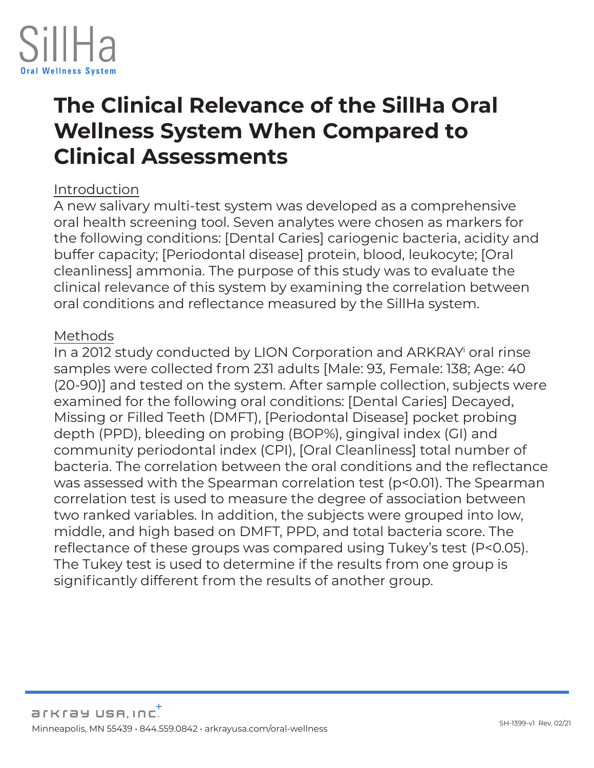

# **The Clinical Relevance of the SillHa Oral Wellness System When Compared to Clinical Assessments**

#### Introduction

A new salivary multi-test system was developed as a comprehensive oral health screening tool. Seven analytes were chosen as markers for the following conditions: [Dental Caries] cariogenic bacteria, acidity and buffer capacity; [Periodontal disease] protein, blood, leukocyte; [Oral cleanliness] ammonia. The purpose of this study was to evaluate the clinical relevance of this system by examining the correlation between oral conditions and reflectance measured by the SillHa system.

#### Methods

In a 2012 study conducted by LION Corporation and ARKRAY oral rinse samples were collected from 231 adults [Male: 93, Female: 138; Age: 40 (20-90)] and tested on the system. After sample collection, subjects were examined for the following oral conditions: [Dental Caries] Decayed, Missing or Filled Teeth (DMFT), [Periodontal Disease] pocket probing depth (PPD), bleeding on probing (BOP%), gingival index (GI) and community periodontal index (CPI), [Oral Cleanliness] total number of bacteria. The correlation between the oral conditions and the reflectance was assessed with the Spearman correlation test (p<0.01). The Spearman correlation test is used to measure the degree of association between two ranked variables. In addition, the subjects were grouped into low, middle, and high based on DMFT, PPD, and total bacteria score. The reflectance of these groups was compared using Tukey's test (P<0.05). The Tukey test is used to determine if the results from one group is significantly different from the results of another group.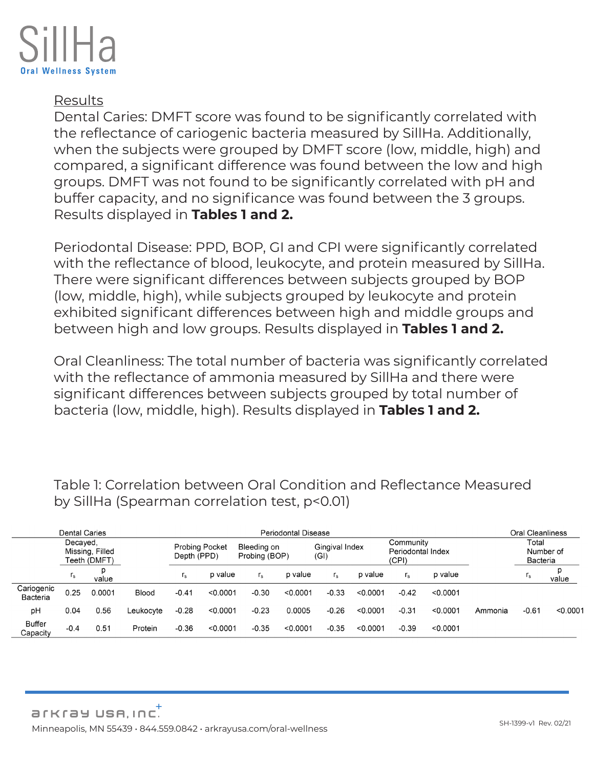

## Results

Dental Caries: DMFT score was found to be significantly correlated with the reflectance of cariogenic bacteria measured by SillHa. Additionally, when the subjects were grouped by DMFT score (low, middle, high) and compared, a significant difference was found between the low and high groups. DMFT was not found to be significantly correlated with pH and buffer capacity, and no significance was found between the 3 groups. Results displayed in **Tables 1 and 2.**

Periodontal Disease: PPD, BOP, GI and CPI were significantly correlated with the reflectance of blood, leukocyte, and protein measured by SillHa. There were significant differences between subjects grouped by BOP (low, middle, high), while subjects grouped by leukocyte and protein exhibited significant differences between high and middle groups and between high and low groups. Results displayed in **Tables 1 and 2.**

Oral Cleanliness: The total number of bacteria was significantly correlated with the reflectance of ammonia measured by SillHa and there were significant differences between subjects grouped by total number of bacteria (low, middle, high). Results displayed in **Tables 1 and 2.**

Table 1: Correlation between Oral Condition and Reflectance Measured by SillHa (Spearman correlation test, p<0.01)

| <b>Dental Caries</b>      |          |                                 |              | <b>Periodontal Disease</b>           |          |                              |          |                        |          |                                         |          | <b>Oral Cleanliness</b> |                                |          |
|---------------------------|----------|---------------------------------|--------------|--------------------------------------|----------|------------------------------|----------|------------------------|----------|-----------------------------------------|----------|-------------------------|--------------------------------|----------|
|                           | Decaved. | Missing, Filled<br>Teeth (DMFT) |              | <b>Probing Pocket</b><br>Depth (PPD) |          | Bleeding on<br>Probing (BOP) |          | Gingival Index<br>(GI) |          | Community<br>Periodontal Index<br>(CPI) |          |                         | Total<br>Number of<br>Bacteria |          |
|                           | $I_{S}$  | D<br>value                      |              | $I_{S}$                              | p value  | $r_{\rm s}$                  | p value  | $r_{\rm s}$            | p value  | $r_{\rm s}$                             | p value  |                         | I <sub>s</sub>                 | value    |
| Cariogenic<br>Bacteria    | 0.25     | 0.0001                          | <b>Blood</b> | $-0.41$                              | < 0.0001 | $-0.30$                      | < 0.0001 | $-0.33$                | < 0.0001 | $-0.42$                                 | < 0.0001 |                         |                                |          |
| pH                        | 0.04     | 0.56                            | Leukocvte    | $-0.28$                              | < 0.0001 | $-0.23$                      | 0.0005   | $-0.26$                | < 0.0001 | $-0.31$                                 | < 0.0001 | Ammonia                 | $-0.61$                        | < 0.0001 |
| <b>Buffer</b><br>Capacitv | $-0.4$   | 0.51                            | Protein      | $-0.36$                              | < 0.0001 | $-0.35$                      | < 0.0001 | $-0.35$                | < 0.0001 | $-0.39$                                 | < 0.0001 |                         |                                |          |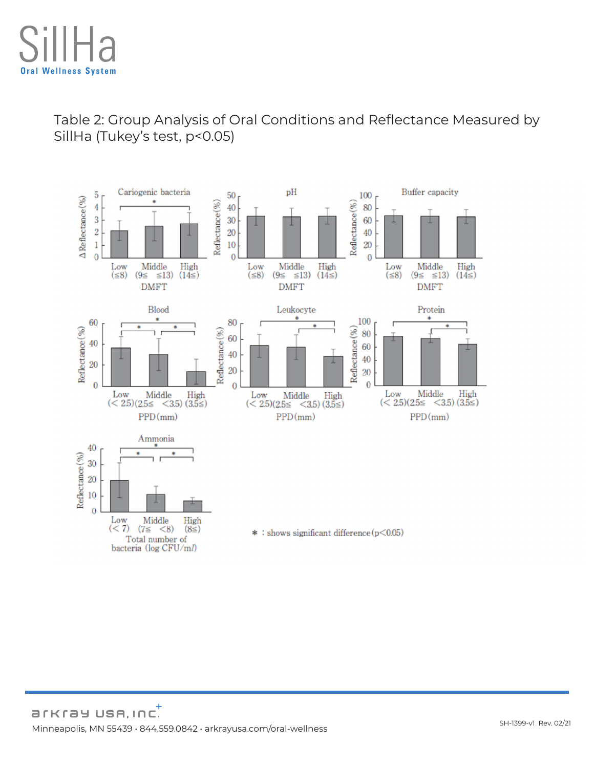Table 2: Group Analysis of Oral Conditions and Reflectance Measured by SillHa (Tukey's test, p<0.05)

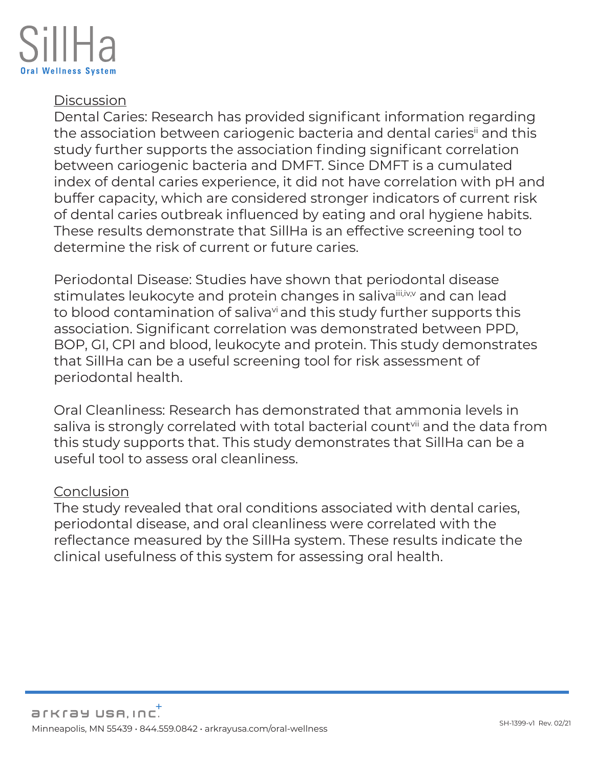## **Discussion**

Dental Caries: Research has provided significant information regarding the association between cariogenic bacteria and dental caries<sup>ii</sup> and this study further supports the association finding significant correlation between cariogenic bacteria and DMFT. Since DMFT is a cumulated index of dental caries experience, it did not have correlation with pH and buffer capacity, which are considered stronger indicators of current risk of dental caries outbreak influenced by eating and oral hygiene habits. These results demonstrate that SillHa is an effective screening tool to determine the risk of current or future caries.

Periodontal Disease: Studies have shown that periodontal disease stimulates leukocyte and protein changes in saliva<sup>iii,iv,v</sup> and can lead to blood contamination of saliva<sup>vi</sup> and this study further supports this association. Significant correlation was demonstrated between PPD, BOP, GI, CPI and blood, leukocyte and protein. This study demonstrates that SillHa can be a useful screening tool for risk assessment of periodontal health.

Oral Cleanliness: Research has demonstrated that ammonia levels in saliva is strongly correlated with total bacterial count<sup>yii</sup> and the data from this study supports that. This study demonstrates that SillHa can be a useful tool to assess oral cleanliness.

#### **Conclusion**

The study revealed that oral conditions associated with dental caries, periodontal disease, and oral cleanliness were correlated with the reflectance measured by the SillHa system. These results indicate the clinical usefulness of this system for assessing oral health.